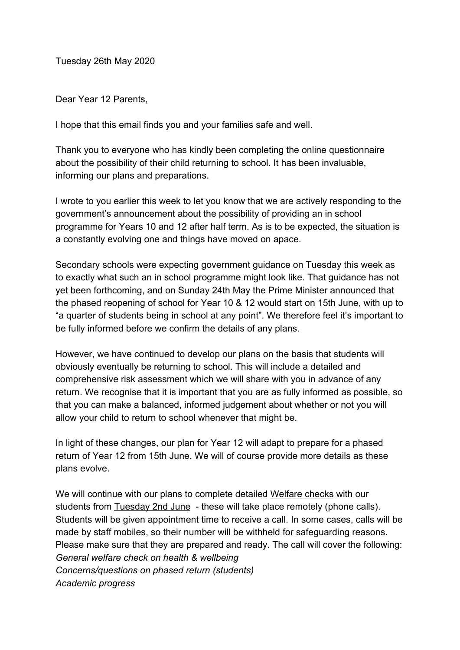Tuesday 26th May 2020

Dear Year 12 Parents,

I hope that this email finds you and your families safe and well.

Thank you to everyone who has kindly been completing the online questionnaire about the possibility of their child returning to school. It has been invaluable, informing our plans and preparations.

I wrote to you earlier this week to let you know that we are actively responding to the government's announcement about the possibility of providing an in school programme for Years 10 and 12 after half term. As is to be expected, the situation is a constantly evolving one and things have moved on apace.

Secondary schools were expecting government guidance on Tuesday this week as to exactly what such an in school programme might look like. That guidance has not yet been forthcoming, and on Sunday 24th May the Prime Minister announced that the phased reopening of school for Year 10 & 12 would start on 15th June, with up to "a quarter of students being in school at any point". We therefore feel it's important to be fully informed before we confirm the details of any plans.

However, we have continued to develop our plans on the basis that students will obviously eventually be returning to school. This will include a detailed and comprehensive risk assessment which we will share with you in advance of any return. We recognise that it is important that you are as fully informed as possible, so that you can make a balanced, informed judgement about whether or not you will allow your child to return to school whenever that might be.

In light of these changes, our plan for Year 12 will adapt to prepare for a phased return of Year 12 from 15th June. We will of course provide more details as these plans evolve.

We will continue with our plans to complete detailed Welfare checks with our students from Tuesday 2nd June - these will take place remotely (phone calls). Students will be given appointment time to receive a call. In some cases, calls will be made by staff mobiles, so their number will be withheld for safeguarding reasons. Please make sure that they are prepared and ready. The call will cover the following: *General welfare check on health & wellbeing Concerns/questions on phased return (students) Academic progress*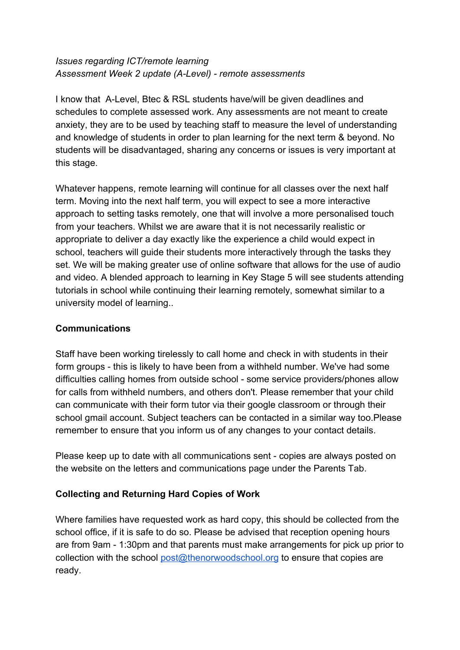## *Issues regarding ICT/remote learning Assessment Week 2 update (A-Level) - remote assessments*

I know that A-Level, Btec & RSL students have/will be given deadlines and schedules to complete assessed work. Any assessments are not meant to create anxiety, they are to be used by teaching staff to measure the level of understanding and knowledge of students in order to plan learning for the next term & beyond. No students will be disadvantaged, sharing any concerns or issues is very important at this stage.

Whatever happens, remote learning will continue for all classes over the next half term. Moving into the next half term, you will expect to see a more interactive approach to setting tasks remotely, one that will involve a more personalised touch from your teachers. Whilst we are aware that it is not necessarily realistic or appropriate to deliver a day exactly like the experience a child would expect in school, teachers will guide their students more interactively through the tasks they set. We will be making greater use of online software that allows for the use of audio and video. A blended approach to learning in Key Stage 5 will see students attending tutorials in school while continuing their learning remotely, somewhat similar to a university model of learning..

## **Communications**

Staff have been working tirelessly to call home and check in with students in their form groups - this is likely to have been from a withheld number. We've had some difficulties calling homes from outside school - some service providers/phones allow for calls from withheld numbers, and others don't. Please remember that your child can communicate with their form tutor via their google classroom or through their school gmail account. Subject teachers can be contacted in a similar way too.Please remember to ensure that you inform us of any changes to your contact details.

Please keep up to date with all communications sent - copies are always posted on the website on the letters and communications page under the Parents Tab.

## **Collecting and Returning Hard Copies of Work**

Where families have requested work as hard copy, this should be collected from the school office, if it is safe to do so. Please be advised that reception opening hours are from 9am - 1:30pm and that parents must make arrangements for pick up prior to collection with the school [post@thenorwoodschool.org](mailto:post@thenorwoodschool.org) to ensure that copies are ready.